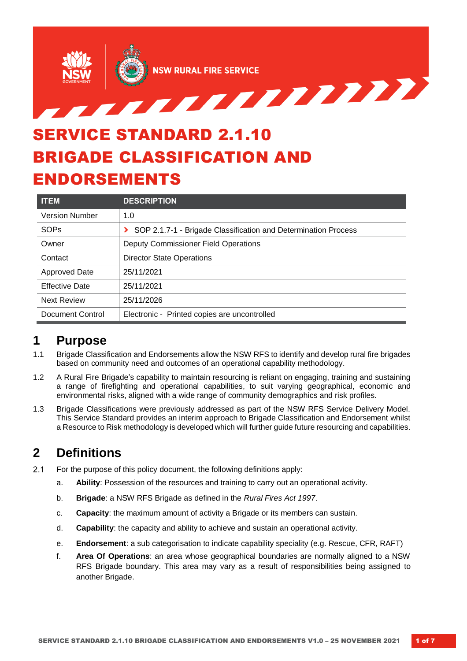

# SERVICE STANDARD 2.1.10 BRIGADE CLASSIFICATION AND ENDORSEMENTS

| <b>ITEM</b>           | <b>DESCRIPTION</b>                                             |  |
|-----------------------|----------------------------------------------------------------|--|
| <b>Version Number</b> | 1.0                                                            |  |
| SOPs                  | SOP 2.1.7-1 - Brigade Classification and Determination Process |  |
| Owner                 | <b>Deputy Commissioner Field Operations</b>                    |  |
| Contact               | <b>Director State Operations</b>                               |  |
| <b>Approved Date</b>  | 25/11/2021                                                     |  |
| <b>Effective Date</b> | 25/11/2021                                                     |  |
| <b>Next Review</b>    | 25/11/2026                                                     |  |
| Document Control      | Electronic - Printed copies are uncontrolled                   |  |

## **1 Purpose**

- 1.1 Brigade Classification and Endorsements allow the NSW RFS to identify and develop rural fire brigades based on community need and outcomes of an operational capability methodology.
- 1.2 A Rural Fire Brigade's capability to maintain resourcing is reliant on engaging, training and sustaining a range of firefighting and operational capabilities, to suit varying geographical, economic and environmental risks, aligned with a wide range of community demographics and risk profiles.
- 1.3 Brigade Classifications were previously addressed as part of the NSW RFS Service Delivery Model. This Service Standard provides an interim approach to Brigade Classification and Endorsement whilst a Resource to Risk methodology is developed which will further guide future resourcing andcapabilities.

## **2 Definitions**

- $2.1$ For the purpose of this policy document, the following definitions apply:
	- a. **Ability**: Possession of the resources and training to carry out an operational activity.
	- b. **Brigade**: a NSW RFS Brigade as defined in the *Rural Fires Act 1997*.
	- c. **Capacity**: the maximum amount of activity a Brigade or its members can sustain.
	- d. **Capability**: the capacity and ability to achieve and sustain an operational activity.
	- e. **Endorsement**: a sub categorisation to indicate capability speciality (e.g. Rescue, CFR, RAFT)
	- f. **Area Of Operations**: an area whose geographical boundaries are normally aligned to a NSW RFS Brigade boundary. This area may vary as a result of responsibilities being assigned to another Brigade.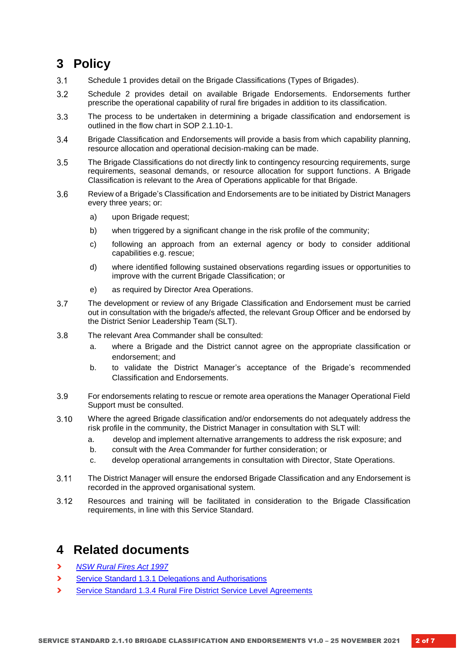## **3 Policy**

- $3.1$ Schedule 1 provides detail on the Brigade Classifications (Types of Brigades).
- $3.2$ Schedule 2 provides detail on available Brigade Endorsements. Endorsements further prescribe the operational capability of rural fire brigades in addition to its classification.
- The process to be undertaken in determining a brigade classification and endorsement is  $3.3$ outlined in the flow chart in SOP 2.1.10-1.
- Brigade Classification and Endorsements will provide a basis from which capability planning, 3.4 resource allocation and operational decision-making can be made.
- $3.5$ The Brigade Classifications do not directly link to contingency resourcing requirements, surge requirements, seasonal demands, or resource allocation for support functions. A Brigade Classification is relevant to the Area of Operations applicable for that Brigade.
- $3.6$ Review of a Brigade's Classification and Endorsements are to be initiated by District Managers every three years; or:
	- a) upon Brigade request;
	- b) when triggered by a significant change in the risk profile of the community;
	- c) following an approach from an external agency or body to consider additional capabilities e.g. rescue;
	- d) where identified following sustained observations regarding issues or opportunities to improve with the current Brigade Classification; or
	- e) as required by Director Area Operations.
- $3.7$ The development or review of any Brigade Classification and Endorsement must be carried out in consultation with the brigade/s affected, the relevant Group Officer and be endorsed by the District Senior Leadership Team (SLT).
- $3.8$ The relevant Area Commander shall be consulted:
	- a. where a Brigade and the District cannot agree on the appropriate classification or endorsement; and
	- b. to validate the District Manager's acceptance of the Brigade's recommended Classification and Endorsements.
- 3.9 For endorsements relating to rescue or remote area operations the Manager Operational Field Support must be consulted.
- $3.10$ Where the agreed Brigade classification and/or endorsements do not adequately address the risk profile in the community, the District Manager in consultation with SLT will:
	- a. develop and implement alternative arrangements to address the risk exposure; and
	- b. consult with the Area Commander for further consideration; or
	- c. develop operational arrangements in consultation with Director, State Operations.
- $3.11$ The District Manager will ensure the endorsed Brigade Classification and any Endorsement is recorded in the approved organisational system.
- $3.12$ Resources and training will be facilitated in consideration to the Brigade Classification requirements, in line with this Service Standard.

#### **4 Related documents**

- **›** *[NSW Rural Fires Act 1997](https://www.legislation.nsw.gov.au/#/view/act/1997/65)*
- **›** [Service Standard 1.3.1 Delegations and Authorisations](https://www.rfs.nsw.gov.au/__data/assets/pdf_file/0006/8799/1.3.1-Delegations-and-Authorisations.pdf)
- **›** [Service Standard 1.3.4 Rural Fire District Service Level Agreements](https://www.rfs.nsw.gov.au/__data/assets/pdf_file/0020/8822/1.3.4-Rural-Fire-District-Service-Agreements.pdf)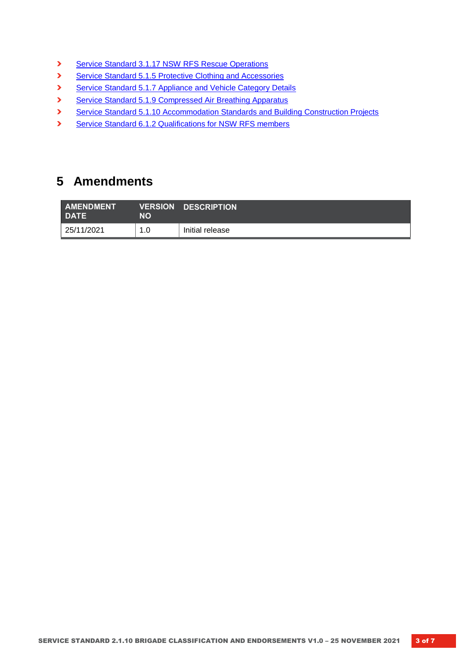- **›** [Service Standard 3.1.17 NSW RFS Rescue Operations](https://www.rfs.nsw.gov.au/__data/assets/pdf_file/0008/99314/3.1.17-NSW-RFS-Rescue-Operations.pdf)
- **›** [Service Standard 5.1.5 Protective Clothing and Accessories](https://www.rfs.nsw.gov.au/__data/assets/pdf_file/0004/8977/5.1.5-Protective-Clothing-and-Accessories.pdf)
- **›** [Service Standard 5.1.7 Appliance and Vehicle Category Details](https://www.rfs.nsw.gov.au/__data/assets/pdf_file/0005/41477/5.1.7-Appliance-and-Vehicle-Category-Details.pdf)
- **›** [Service Standard 5.1.9 Compressed Air Breathing Apparatus](https://www.rfs.nsw.gov.au/__data/assets/pdf_file/0010/8992/5.1.9-Breathing-Apparatus.pdf)
- **›** [Service Standard 5.1.10 Accommodation Standards and Building Construction Projects](https://www.rfs.nsw.gov.au/__data/assets/pdf_file/0006/8997/5.1.10-Accommodation-Standards-and-Building-Construction-Projects-v4.0.pdf)
- **›** [Service Standard 6.1.2 Qualifications for NSW RFS members](https://www.rfs.nsw.gov.au/__data/assets/pdf_file/0014/9032/6.1.2-Qualifications-for-NSW-RFS-Members.pdf)

## **5 Amendments**

| <b>AMENDMENT</b><br><b>DATE</b> | NO  | <b>VERSION DESCRIPTION</b> |
|---------------------------------|-----|----------------------------|
| 25/11/2021                      | 1.0 | Initial release            |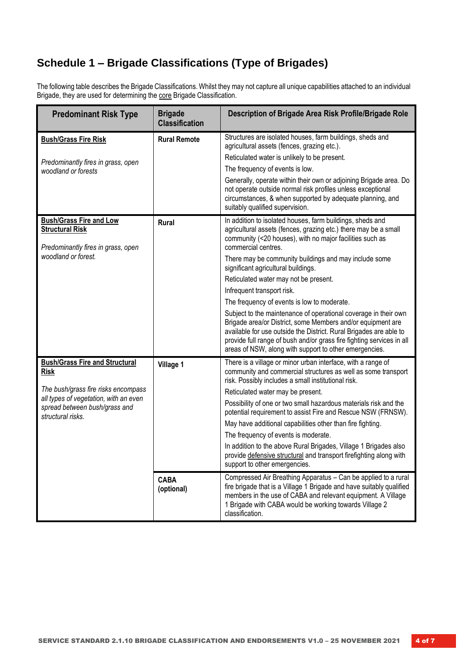## **Schedule 1 – Brigade Classifications (Type of Brigades)**

The following table describes the Brigade Classifications. Whilst they may not capture all unique capabilities attached to an individual Brigade, they are used for determining the core Brigade Classification.

| <b>Predominant Risk Type</b>                                                                   | <b>Brigade</b><br><b>Classification</b> | Description of Brigade Area Risk Profile/Brigade Role                                                                                                                                                                                                                                                                                   |
|------------------------------------------------------------------------------------------------|-----------------------------------------|-----------------------------------------------------------------------------------------------------------------------------------------------------------------------------------------------------------------------------------------------------------------------------------------------------------------------------------------|
| <b>Bush/Grass Fire Risk</b>                                                                    | <b>Rural Remote</b>                     | Structures are isolated houses, farm buildings, sheds and<br>agricultural assets (fences, grazing etc.).<br>Reticulated water is unlikely to be present.                                                                                                                                                                                |
| Predominantly fires in grass, open<br>woodland or forests                                      |                                         | The frequency of events is low.                                                                                                                                                                                                                                                                                                         |
|                                                                                                |                                         | Generally, operate within their own or adjoining Brigade area. Do<br>not operate outside normal risk profiles unless exceptional<br>circumstances, & when supported by adequate planning, and<br>suitably qualified supervision.                                                                                                        |
| <b>Bush/Grass Fire and Low</b><br><b>Structural Risk</b><br>Predominantly fires in grass, open | Rural                                   | In addition to isolated houses, farm buildings, sheds and<br>agricultural assets (fences, grazing etc.) there may be a small<br>community (<20 houses), with no major facilities such as<br>commercial centres.                                                                                                                         |
| woodland or forest.                                                                            |                                         | There may be community buildings and may include some<br>significant agricultural buildings.                                                                                                                                                                                                                                            |
|                                                                                                |                                         | Reticulated water may not be present.                                                                                                                                                                                                                                                                                                   |
|                                                                                                |                                         | Infrequent transport risk.                                                                                                                                                                                                                                                                                                              |
|                                                                                                |                                         | The frequency of events is low to moderate.                                                                                                                                                                                                                                                                                             |
|                                                                                                |                                         | Subject to the maintenance of operational coverage in their own<br>Brigade area/or District, some Members and/or equipment are<br>available for use outside the District. Rural Brigades are able to<br>provide full range of bush and/or grass fire fighting services in all<br>areas of NSW, along with support to other emergencies. |
| <b>Bush/Grass Fire and Structural</b><br><b>Risk</b>                                           | Village 1                               | There is a village or minor urban interface, with a range of<br>community and commercial structures as well as some transport<br>risk. Possibly includes a small institutional risk.                                                                                                                                                    |
| The bush/grass fire risks encompass<br>all types of vegetation, with an even                   |                                         | Reticulated water may be present.                                                                                                                                                                                                                                                                                                       |
| spread between bush/grass and<br>structural risks.                                             |                                         | Possibility of one or two small hazardous materials risk and the<br>potential requirement to assist Fire and Rescue NSW (FRNSW).                                                                                                                                                                                                        |
|                                                                                                |                                         | May have additional capabilities other than fire fighting.                                                                                                                                                                                                                                                                              |
|                                                                                                |                                         | The frequency of events is moderate.                                                                                                                                                                                                                                                                                                    |
|                                                                                                |                                         | In addition to the above Rural Brigades, Village 1 Brigades also<br>provide defensive structural and transport firefighting along with<br>support to other emergencies.                                                                                                                                                                 |
|                                                                                                | <b>CABA</b><br>(optional)               | Compressed Air Breathing Apparatus - Can be applied to a rural<br>fire brigade that is a Village 1 Brigade and have suitably qualified<br>members in the use of CABA and relevant equipment. A Village<br>1 Brigade with CABA would be working towards Village 2<br>classification.                                                     |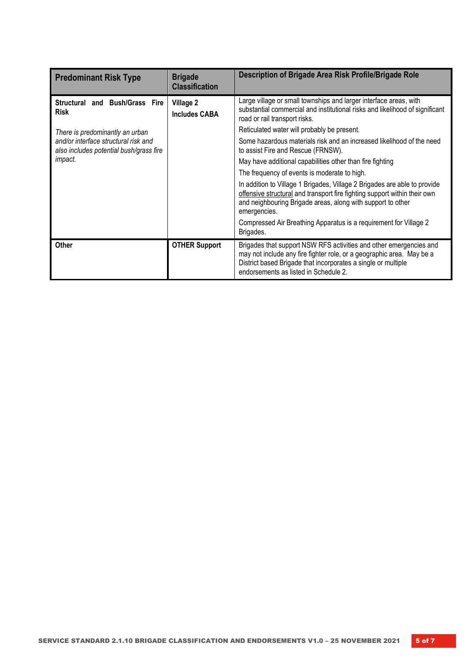| <b>Predominant Risk Type</b>                                                    | <b>Brigade</b><br><b>Classification</b> | Description of Brigade Area Risk Profile/Brigade Role                                                                                                                                                                                                 |
|---------------------------------------------------------------------------------|-----------------------------------------|-------------------------------------------------------------------------------------------------------------------------------------------------------------------------------------------------------------------------------------------------------|
| Structural and Bush/Grass Fire<br><b>Risk</b>                                   | Village 2<br><b>Includes CABA</b>       | Large village or small townships and larger interface areas, with<br>substantial commercial and institutional risks and likelihood of significant<br>road or rail transport risks.                                                                    |
| There is predominantly an urban                                                 |                                         | Reticulated water will probably be present.                                                                                                                                                                                                           |
| and/or interface structural risk and<br>also includes potential bush/grass fire |                                         | Some hazardous materials risk and an increased likelihood of the need<br>to assist Fire and Rescue (FRNSW).                                                                                                                                           |
| <i>impact.</i>                                                                  |                                         | May have additional capabilities other than fire fighting                                                                                                                                                                                             |
|                                                                                 |                                         | The frequency of events is moderate to high.                                                                                                                                                                                                          |
|                                                                                 |                                         | In addition to Village 1 Brigades, Village 2 Brigades are able to provide<br>offensive structural and transport fire fighting support within their own<br>and neighbouring Brigade areas, along with support to other<br>emergencies.                 |
|                                                                                 |                                         | Compressed Air Breathing Apparatus is a requirement for Village 2<br>Brigades.                                                                                                                                                                        |
| Other                                                                           | <b>OTHER Support</b>                    | Brigades that support NSW RFS activities and other emergencies and<br>may not include any fire fighter role, or a geographic area. May be a<br>District based Brigade that incorporates a single or multiple<br>endorsements as listed in Schedule 2. |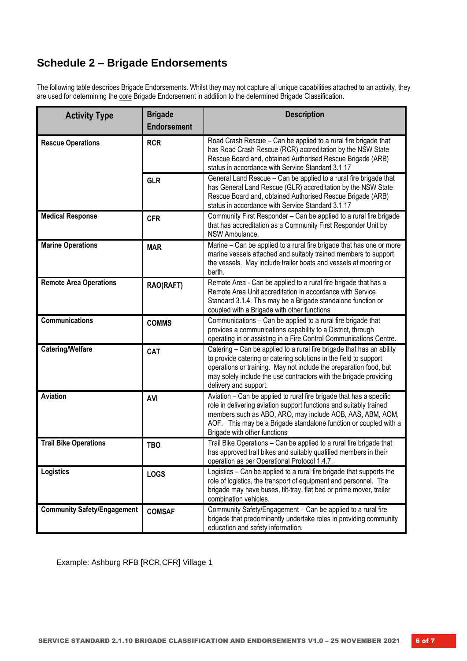### **Schedule 2 – Brigade Endorsements**

The following table describes Brigade Endorsements. Whilst they may not capture all unique capabilities attached to an activity, they are used for determining the core Brigade Endorsement in addition to the determined Brigade Classification.

| <b>Activity Type</b>               | <b>Brigade</b><br><b>Endorsement</b> | <b>Description</b>                                                                                                                                                                                                                                                                                            |
|------------------------------------|--------------------------------------|---------------------------------------------------------------------------------------------------------------------------------------------------------------------------------------------------------------------------------------------------------------------------------------------------------------|
| <b>Rescue Operations</b>           | <b>RCR</b>                           | Road Crash Rescue - Can be applied to a rural fire brigade that<br>has Road Crash Rescue (RCR) accreditation by the NSW State<br>Rescue Board and, obtained Authorised Rescue Brigade (ARB)<br>status in accordance with Service Standard 3.1.17                                                              |
|                                    | <b>GLR</b>                           | General Land Rescue - Can be applied to a rural fire brigade that<br>has General Land Rescue (GLR) accreditation by the NSW State<br>Rescue Board and, obtained Authorised Rescue Brigade (ARB)<br>status in accordance with Service Standard 3.1.17                                                          |
| <b>Medical Response</b>            | <b>CFR</b>                           | Community First Responder - Can be applied to a rural fire brigade<br>that has accreditation as a Community First Responder Unit by<br>NSW Ambulance.                                                                                                                                                         |
| <b>Marine Operations</b>           | <b>MAR</b>                           | Marine - Can be applied to a rural fire brigade that has one or more<br>marine vessels attached and suitably trained members to support<br>the vessels. May include trailer boats and vessels at mooring or<br>berth.                                                                                         |
| <b>Remote Area Operations</b>      | RAO(RAFT)                            | Remote Area - Can be applied to a rural fire brigade that has a<br>Remote Area Unit accreditation in accordance with Service<br>Standard 3.1.4. This may be a Brigade standalone function or<br>coupled with a Brigade with other functions                                                                   |
| <b>Communications</b>              | <b>COMMS</b>                         | Communications - Can be applied to a rural fire brigade that<br>provides a communications capability to a District, through<br>operating in or assisting in a Fire Control Communications Centre.                                                                                                             |
| <b>Catering/Welfare</b>            | CAT                                  | Catering - Can be applied to a rural fire brigade that has an ability<br>to provide catering or catering solutions in the field to support<br>operations or training. May not include the preparation food, but<br>may solely include the use contractors with the brigade providing<br>delivery and support. |
| Aviation                           | <b>AVI</b>                           | Aviation - Can be applied to rural fire brigade that has a specific<br>role in delivering aviation support functions and suitably trained<br>members such as ABO, ARO, may include AOB, AAS, ABM, AOM,<br>AOF. This may be a Brigade standalone function or coupled with a<br>Brigade with other functions    |
| <b>Trail Bike Operations</b>       | <b>TBO</b>                           | Trail Bike Operations - Can be applied to a rural fire brigade that<br>has approved trail bikes and suitably qualified members in their<br>operation as per Operational Protocol 1.4.7.                                                                                                                       |
| Logistics                          | <b>LOGS</b>                          | Logistics - Can be applied to a rural fire brigade that supports the<br>role of logistics, the transport of equipment and personnel. The<br>brigade may have buses, tilt-tray, flat bed or prime mover, trailer<br>combination vehicles.                                                                      |
| <b>Community Safety/Engagement</b> | <b>COMSAF</b>                        | Community Safety/Engagement - Can be applied to a rural fire<br>brigade that predominantly undertake roles in providing community<br>education and safety information.                                                                                                                                        |

Example: Ashburg RFB [RCR,CFR] Village 1